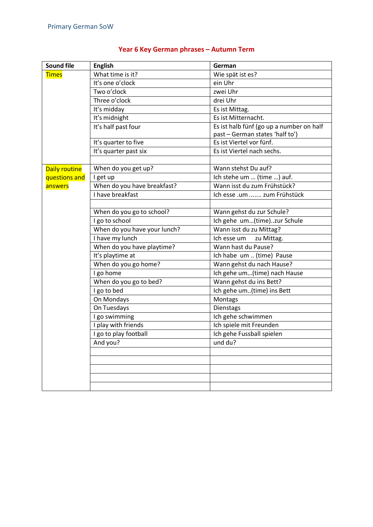| <b>Sound file</b> | <b>English</b>               | German                                   |
|-------------------|------------------------------|------------------------------------------|
| <b>Times</b>      | What time is it?             | Wie spät ist es?                         |
|                   | It's one o'clock             | ein Uhr                                  |
|                   | Two o'clock                  | zwei Uhr                                 |
|                   | Three o'clock                | drei Uhr                                 |
|                   | It's midday                  | Es ist Mittag.                           |
|                   | It's midnight                | Es ist Mitternacht.                      |
|                   | It's half past four          | Es ist halb fünf (go up a number on half |
|                   |                              | past - German states 'half to')          |
|                   | It's quarter to five         | Es ist Viertel vor fünf.                 |
|                   | It's quarter past six        | Es ist Viertel nach sechs.               |
|                   |                              |                                          |
| Daily routine     | When do you get up?          | Wann stehst Du auf?                      |
| questions and     | I get up                     | Ich stehe um  (time ) auf.               |
| answers           | When do you have breakfast?  | Wann isst du zum Frühstück?              |
|                   | I have breakfast             | Ich esse .um  zum Frühstück              |
|                   |                              |                                          |
|                   | When do you go to school?    | Wann gehst du zur Schule?                |
|                   | I go to school               | Ich gehe um(time)zur Schule              |
|                   | When do you have your lunch? | Wann isst du zu Mittag?                  |
|                   | I have my lunch              | Ich esse um<br>zu Mittag.                |
|                   | When do you have playtime?   | Wann hast du Pause?                      |
|                   | It's playtime at             | Ich habe um  (time) Pause                |
|                   | When do you go home?         | Wann gehst du nach Hause?                |
|                   | I go home                    | Ich gehe um(time) nach Hause             |
|                   | When do you go to bed?       | Wann gehst du ins Bett?                  |
|                   | I go to bed                  | Ich gehe um(time) ins Bett               |
|                   | On Mondays                   | Montags                                  |
|                   | On Tuesdays                  | Dienstags                                |
|                   | I go swimming                | Ich gehe schwimmen                       |
|                   | I play with friends          | Ich spiele mit Freunden                  |
|                   | I go to play football        | Ich gehe Fussball spielen                |
|                   | And you?                     | und du?                                  |
|                   |                              |                                          |
|                   |                              |                                          |
|                   |                              |                                          |
|                   |                              |                                          |
|                   |                              |                                          |

## **Year 6 Key German phrases – Autumn Term**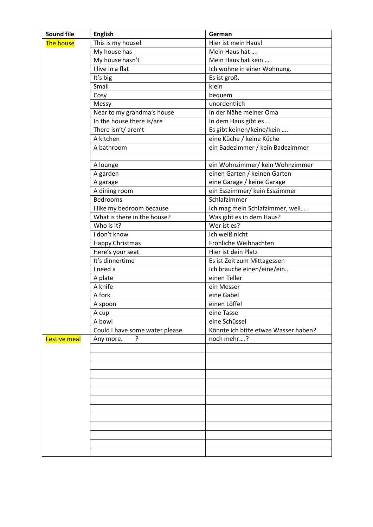| <b>Sound file</b>   | <b>English</b>                 | German                               |
|---------------------|--------------------------------|--------------------------------------|
| <b>The house</b>    | This is my house!              | Hier ist mein Haus!                  |
|                     | My house has                   | Mein Haus hat                        |
|                     | My house hasn't                | Mein Haus hat kein                   |
|                     | $\overline{I}$ live in a flat  | Ich wohne in einer Wohnung.          |
|                     | It's big                       | Es ist groß.                         |
|                     | Small                          | klein                                |
|                     | Cosy                           | bequem                               |
|                     | Messy                          | unordentlich                         |
|                     | Near to my grandma's house     | In der Nähe meiner Oma               |
|                     | In the house there is/are      | In dem Haus gibt es                  |
|                     | There isn't/ aren't            | Es gibt keinen/keine/kein            |
|                     | A kitchen                      | eine Küche / keine Küche             |
|                     | A bathroom                     | ein Badezimmer / kein Badezimmer     |
|                     |                                |                                      |
|                     | A lounge                       | ein Wohnzimmer/ kein Wohnzimmer      |
|                     | A garden                       | einen Garten / keinen Garten         |
|                     | A garage                       | eine Garage / keine Garage           |
|                     | A dining room                  | ein Esszimmer/ kein Esszimmer        |
|                     | <b>Bedrooms</b>                | Schlafzimmer                         |
|                     | I like my bedroom because      | Ich mag mein Schlafzimmer, weil      |
|                     | What is there in the house?    | Was gibt es in dem Haus?             |
|                     | Who is it?                     | Wer ist es?                          |
|                     | I don't know                   | Ich weiß nicht                       |
|                     | Happy Christmas                | Fröhliche Weihnachten                |
|                     | Here's your seat               | Hier ist dein Platz                  |
|                     | It's dinnertime                | Es ist Zeit zum Mittagessen          |
|                     | I need a                       | Ich brauche einen/eine/ein           |
|                     | A plate                        | einen Teller                         |
|                     | A knife                        | ein Messer                           |
|                     | A fork                         | eine Gabel                           |
|                     | A spoon                        | einen Löffel                         |
|                     | A cup                          | eine Tasse                           |
|                     | A bowl                         | eine Schüssel                        |
|                     | Could I have some water please | Könnte ich bitte etwas Wasser haben? |
| <b>Festive meal</b> | ?<br>Any more.                 | noch mehr?                           |
|                     |                                |                                      |
|                     |                                |                                      |
|                     |                                |                                      |
|                     |                                |                                      |
|                     |                                |                                      |
|                     |                                |                                      |
|                     |                                |                                      |
|                     |                                |                                      |
|                     |                                |                                      |
|                     |                                |                                      |
|                     |                                |                                      |
|                     |                                |                                      |
|                     |                                |                                      |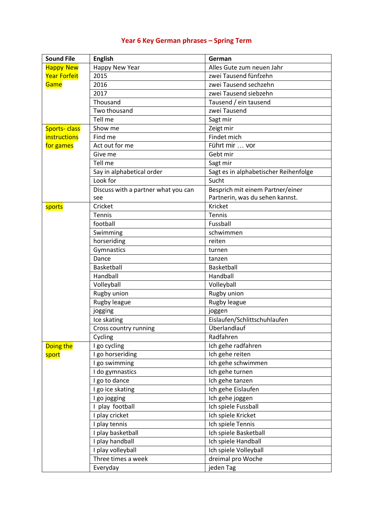## **Year 6 Key German phrases – Spring Term**

| <b>Sound File</b>   | <b>English</b>                      | German                                |
|---------------------|-------------------------------------|---------------------------------------|
| <b>Happy New</b>    | Happy New Year                      | Alles Gute zum neuen Jahr             |
| <b>Year Forfeit</b> | 2015                                | zwei Tausend fünfzehn                 |
| Game                | 2016                                | zwei Tausend sechzehn                 |
|                     | 2017                                | zwei Tausend siebzehn                 |
|                     | Thousand                            | Tausend / ein tausend                 |
|                     | Two thousand                        | zwei Tausend                          |
|                     | Tell me                             | Sagt mir                              |
| <b>Sports-class</b> | Show me                             | Zeigt mir                             |
| <i>instructions</i> | Find me                             | Findet mich                           |
| for games           | Act out for me                      | Führt mir  vor                        |
|                     | Give me                             | Gebt mir                              |
|                     | Tell me                             | Sagt mir                              |
|                     | Say in alphabetical order           | Sagt es in alphabetischer Reihenfolge |
|                     | Look for                            | Sucht                                 |
|                     | Discuss with a partner what you can | Besprich mit einem Partner/einer      |
|                     | see                                 | Partnerin, was du sehen kannst.       |
| sports              | Cricket                             | Kricket                               |
|                     | Tennis                              | Tennis                                |
|                     | football                            | Fussball                              |
|                     | Swimming                            | schwimmen                             |
|                     | horseriding                         | reiten                                |
|                     | Gymnastics                          | turnen                                |
|                     | Dance                               | tanzen                                |
|                     | Basketball                          | Basketball                            |
|                     | Handball                            | Handball                              |
|                     | Volleyball                          | Volleyball                            |
|                     | Rugby union                         | Rugby union                           |
|                     | Rugby league                        | Rugby league                          |
|                     | jogging                             | joggen                                |
|                     | Ice skating                         | Eislaufen/Schlittschuhlaufen          |
|                     | Cross country running               | Überlandlauf                          |
|                     | Cycling                             | Radfahren                             |
| Doing the           | I go cycling                        | Ich gehe radfahren                    |
| sport               | I go horseriding                    | Ich gehe reiten                       |
|                     | I go swimming                       | Ich gehe schwimmen                    |
|                     | I do gymnastics                     | Ich gehe turnen                       |
|                     | I go to dance                       | Ich gehe tanzen                       |
|                     | I go ice skating                    | Ich gehe Eislaufen                    |
|                     | I go jogging                        | Ich gehe joggen                       |
|                     | I play football                     | Ich spiele Fussball                   |
|                     | I play cricket                      | Ich spiele Kricket                    |
|                     | I play tennis                       | Ich spiele Tennis                     |
|                     | I play basketball                   | Ich spiele Basketball                 |
|                     | I play handball                     | Ich spiele Handball                   |
|                     | I play volleyball                   | Ich spiele Volleyball                 |
|                     | Three times a week                  | dreimal pro Woche                     |
|                     | Everyday                            | jeden Tag                             |